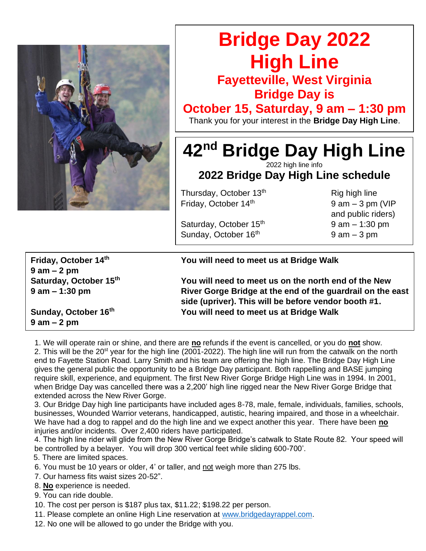

## **Bridge Day 2022 High Line**

**Fayetteville, West Virginia Bridge Day is**

**October 15, Saturday, 9 am – 1:30 pm**

Thank you for your interest in the **Bridge Day High Line**.

**42nd Bridge Day High Line** 2022 high line info

**2022 Bridge Day High Line schedule**

Thursday, October 13<sup>th</sup> Rig high line Friday, October  $14<sup>th</sup>$  9 am – 3 pm (VIP

Saturday, October  $15<sup>th</sup>$  9 am – 1:30 pm Sunday, October  $16<sup>th</sup>$  9 am – 3 pm

and public riders)

**9 am – 2 pm**

## **Friday, October 14th You will need to meet us at Bridge Walk**

**Saturday, October 15th You will need to meet us on the north end of the New 9 am – 1:30 pm River Gorge Bridge at the end of the guardrail on the east side (upriver). This will be before vendor booth #1. Sunday, October 16th You will need to meet us at Bridge Walk**

**9 am – 2 pm**

 1. We will operate rain or shine, and there are **no** refunds if the event is cancelled, or you do **not** show. 2. This will be the 20<sup>st</sup> year for the high line (2001-2022). The high line will run from the catwalk on the north end to Fayette Station Road. Larry Smith and his team are offering the high line. The Bridge Day High Line gives the general public the opportunity to be a Bridge Day participant. Both rappelling and BASE jumping require skill, experience, and equipment. The first New River Gorge Bridge High Line was in 1994. In 2001, when Bridge Day was cancelled there was a 2,200' high line rigged near the New River Gorge Bridge that extended across the New River Gorge.

3. Our Bridge Day high line participants have included ages 8-78, male, female, individuals, families, schools, businesses, Wounded Warrior veterans, handicapped, autistic, hearing impaired, and those in a wheelchair. We have had a dog to rappel and do the high line and we expect another this year. There have been **no** injuries and/or incidents. Over 2,400 riders have participated.

4. The high line rider will glide from the New River Gorge Bridge's catwalk to State Route 82. Your speed will be controlled by a belayer. You will drop 300 vertical feet while sliding 600-700'.

5. There are limited spaces.

- 6. You must be 10 years or older, 4' or taller, and not weigh more than 275 lbs.
- 7. Our harness fits waist sizes 20-52".
- 8. **No** experience is needed.
- 9. You can ride double.
- 10. The cost per person is \$187 plus tax, \$11.22; \$198.22 per person.
- 11. Please complete an online High Line reservation at [www.bridgedayrappel.com.](http://www.bridgedayrappel.com/)
- 12. No one will be allowed to go under the Bridge with you.